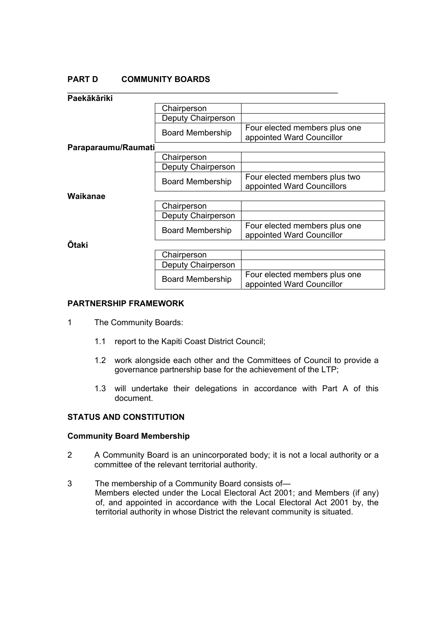# **PART D COMMUNITY BOARDS**

| Paekākāriki         |                         |                                                             |
|---------------------|-------------------------|-------------------------------------------------------------|
|                     | Chairperson             |                                                             |
|                     | Deputy Chairperson      |                                                             |
|                     | <b>Board Membership</b> | Four elected members plus one<br>appointed Ward Councillor  |
| Paraparaumu/Raumati |                         |                                                             |
|                     | Chairperson             |                                                             |
|                     | Deputy Chairperson      |                                                             |
|                     | Board Membership        | Four elected members plus two<br>appointed Ward Councillors |
| Waikanae            |                         |                                                             |
|                     | Chairperson             |                                                             |
|                     | Deputy Chairperson      |                                                             |
|                     | <b>Board Membership</b> | Four elected members plus one<br>appointed Ward Councillor  |
| <b>Otaki</b>        |                         |                                                             |
|                     | Chairperson             |                                                             |
|                     | Deputy Chairperson      |                                                             |
|                     | <b>Board Membership</b> | Four elected members plus one<br>appointed Ward Councillor  |

## **PARTNERSHIP FRAMEWORK**

- 1 The Community Boards:
	- 1.1 report to the Kapiti Coast District Council;
	- 1.2 work alongside each other and the Committees of Council to provide a governance partnership base for the achievement of the LTP;
	- 1.3 will undertake their delegations in accordance with Part A of this document.

# **STATUS AND CONSTITUTION**

## **Community Board Membership**

- 2 A Community Board is an unincorporated body; it is not a local authority or a committee of the relevant territorial authority.
- 3 The membership of a Community Board consists of— Members elected under the Local Electoral Act 2001; and Members (if any) of, and appointed in accordance with the Local Electoral Act 2001 by, the territorial authority in whose District the relevant community is situated.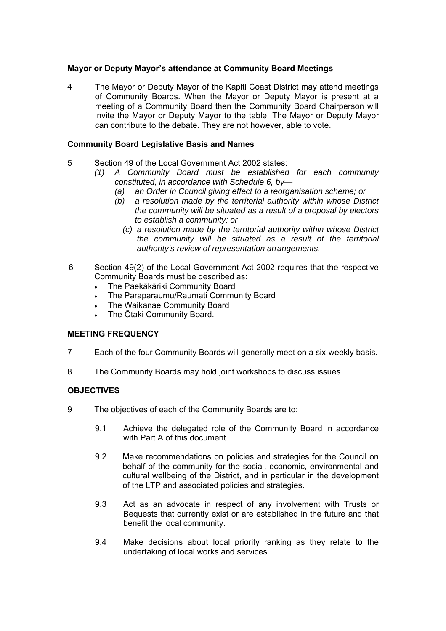# **Mayor or Deputy Mayor's attendance at Community Board Meetings**

4 The Mayor or Deputy Mayor of the Kapiti Coast District may attend meetings of Community Boards. When the Mayor or Deputy Mayor is present at a meeting of a Community Board then the Community Board Chairperson will invite the Mayor or Deputy Mayor to the table. The Mayor or Deputy Mayor can contribute to the debate. They are not however, able to vote.

# **Community Board Legislative Basis and Names**

- 5 Section 49 of the Local Government Act 2002 states:
	- *(1) A Community Board must be established for each community constituted, in accordance with Schedule 6, by—* 
		- *(a) an Order in Council giving effect to a reorganisation scheme; or*
		- *(b) a resolution made by the territorial authority within whose District the community will be situated as a result of a proposal by electors to establish a community; or* 
			- *(c) a resolution made by the territorial authority within whose District the community will be situated as a result of the territorial authority's review of representation arrangements.*
- 6 Section 49(2) of the Local Government Act 2002 requires that the respective Community Boards must be described as:
	- The Paekākāriki Community Board
	- The Paraparaumu/Raumati Community Board
	- The Waikanae Community Board
	- The Ōtaki Community Board.

# **MEETING FREQUENCY**

- 7 Each of the four Community Boards will generally meet on a six-weekly basis.
- 8 The Community Boards may hold joint workshops to discuss issues.

# **OBJECTIVES**

- 9 The objectives of each of the Community Boards are to:
	- 9.1 Achieve the delegated role of the Community Board in accordance with Part A of this document.
	- 9.2 Make recommendations on policies and strategies for the Council on behalf of the community for the social, economic, environmental and cultural wellbeing of the District, and in particular in the development of the LTP and associated policies and strategies.
	- 9.3 Act as an advocate in respect of any involvement with Trusts or Bequests that currently exist or are established in the future and that benefit the local community.
	- 9.4 Make decisions about local priority ranking as they relate to the undertaking of local works and services.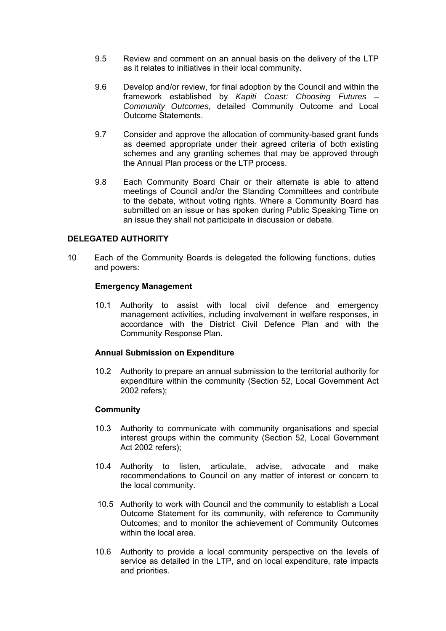- 9.5 Review and comment on an annual basis on the delivery of the LTP as it relates to initiatives in their local community.
- 9.6 Develop and/or review, for final adoption by the Council and within the framework established by *Kapiti Coast: Choosing Futures – Community Outcomes*, detailed Community Outcome and Local Outcome Statements.
- 9.7 Consider and approve the allocation of community-based grant funds as deemed appropriate under their agreed criteria of both existing schemes and any granting schemes that may be approved through the Annual Plan process or the LTP process.
- 9.8 Each Community Board Chair or their alternate is able to attend meetings of Council and/or the Standing Committees and contribute to the debate, without voting rights. Where a Community Board has submitted on an issue or has spoken during Public Speaking Time on an issue they shall not participate in discussion or debate.

# **DELEGATED AUTHORITY**

10 Each of the Community Boards is delegated the following functions, duties and powers:

## **Emergency Management**

10.1 Authority to assist with local civil defence and emergency management activities, including involvement in welfare responses, in accordance with the District Civil Defence Plan and with the Community Response Plan.

## **Annual Submission on Expenditure**

10.2 Authority to prepare an annual submission to the territorial authority for expenditure within the community (Section 52, Local Government Act 2002 refers);

## **Community**

- 10.3 Authority to communicate with community organisations and special interest groups within the community (Section 52, Local Government Act 2002 refers);
- 10.4 Authority to listen, articulate, advise, advocate and make recommendations to Council on any matter of interest or concern to the local community.
- 10.5 Authority to work with Council and the community to establish a Local Outcome Statement for its community, with reference to Community Outcomes; and to monitor the achievement of Community Outcomes within the local area.
- 10.6 Authority to provide a local community perspective on the levels of service as detailed in the LTP, and on local expenditure, rate impacts and priorities.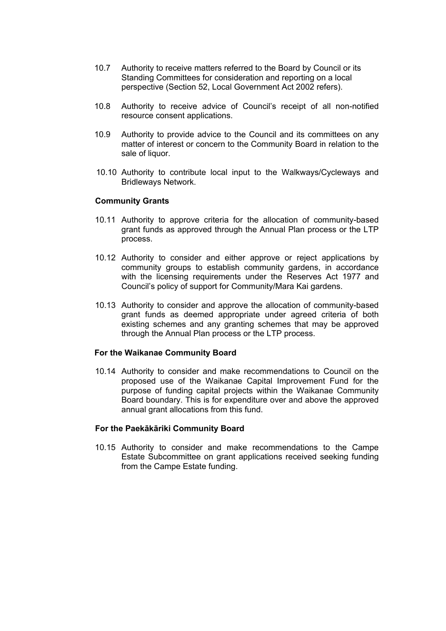- 10.7 Authority to receive matters referred to the Board by Council or its Standing Committees for consideration and reporting on a local perspective (Section 52, Local Government Act 2002 refers).
- 10.8 Authority to receive advice of Council's receipt of all non-notified resource consent applications.
- 10.9 Authority to provide advice to the Council and its committees on any matter of interest or concern to the Community Board in relation to the sale of liquor.
- 10.10 Authority to contribute local input to the Walkways/Cycleways and Bridleways Network.

#### **Community Grants**

- 10.11 Authority to approve criteria for the allocation of community-based grant funds as approved through the Annual Plan process or the LTP process.
- 10.12 Authority to consider and either approve or reject applications by community groups to establish community gardens, in accordance with the licensing requirements under the Reserves Act 1977 and Council's policy of support for Community/Mara Kai gardens.
- 10.13 Authority to consider and approve the allocation of community-based grant funds as deemed appropriate under agreed criteria of both existing schemes and any granting schemes that may be approved through the Annual Plan process or the LTP process.

## **For the Waikanae Community Board**

10.14 Authority to consider and make recommendations to Council on the proposed use of the Waikanae Capital Improvement Fund for the purpose of funding capital projects within the Waikanae Community Board boundary. This is for expenditure over and above the approved annual grant allocations from this fund.

#### **For the Paekākāriki Community Board**

10.15 Authority to consider and make recommendations to the Campe Estate Subcommittee on grant applications received seeking funding from the Campe Estate funding.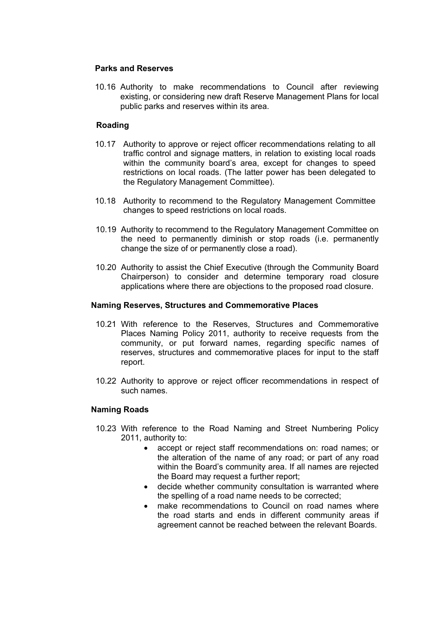# **Parks and Reserves**

10.16 Authority to make recommendations to Council after reviewing existing, or considering new draft Reserve Management Plans for local public parks and reserves within its area.

# **Roading**

- 10.17 Authority to approve or reject officer recommendations relating to all traffic control and signage matters, in relation to existing local roads within the community board's area, except for changes to speed restrictions on local roads. (The latter power has been delegated to the Regulatory Management Committee).
- 10.18 Authority to recommend to the Regulatory Management Committee changes to speed restrictions on local roads.
- 10.19 Authority to recommend to the Regulatory Management Committee on the need to permanently diminish or stop roads (i.e. permanently change the size of or permanently close a road).
- 10.20 Authority to assist the Chief Executive (through the Community Board Chairperson) to consider and determine temporary road closure applications where there are objections to the proposed road closure.

## **Naming Reserves, Structures and Commemorative Places**

- 10.21 With reference to the Reserves, Structures and Commemorative Places Naming Policy 2011, authority to receive requests from the community, or put forward names, regarding specific names of reserves, structures and commemorative places for input to the staff report.
- 10.22 Authority to approve or reject officer recommendations in respect of such names.

## **Naming Roads**

- 10.23 With reference to the Road Naming and Street Numbering Policy 2011, authority to:
	- accept or reject staff recommendations on: road names; or the alteration of the name of any road; or part of any road within the Board's community area. If all names are rejected the Board may request a further report;
	- decide whether community consultation is warranted where the spelling of a road name needs to be corrected;
	- make recommendations to Council on road names where the road starts and ends in different community areas if agreement cannot be reached between the relevant Boards.